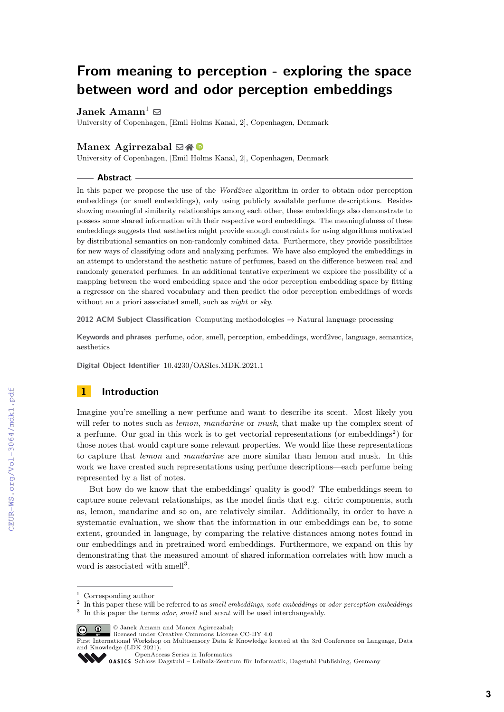# **From meaning to perception - exploring the space between word and odor perception embeddings**

**Janek Amann**<sup>1</sup>  $\boxtimes$ 

University of Copenhagen, [Emil Holms Kanal, 2], Copenhagen, Denmark

## **Manex Agirrezabal** ⊠\* <sup>■</sup>

University of Copenhagen, [Emil Holms Kanal, 2], Copenhagen, Denmark

#### **Abstract**

In this paper we propose the use of the *Word2vec* algorithm in order to obtain odor perception embeddings (or smell embeddings), only using publicly available perfume descriptions. Besides showing meaningful similarity relationships among each other, these embeddings also demonstrate to possess some shared information with their respective word embeddings. The meaningfulness of these embeddings suggests that aesthetics might provide enough constraints for using algorithms motivated by distributional semantics on non-randomly combined data. Furthermore, they provide possibilities for new ways of classifying odors and analyzing perfumes. We have also employed the embeddings in an attempt to understand the aesthetic nature of perfumes, based on the difference between real and randomly generated perfumes. In an additional tentative experiment we explore the possibility of a mapping between the word embedding space and the odor perception embedding space by fitting a regressor on the shared vocabulary and then predict the odor perception embeddings of words without an a priori associated smell, such as *night* or *sky*.

**2012 ACM Subject Classification** Computing methodologies → Natural language processing

**Keywords and phrases** perfume, odor, smell, perception, embeddings, word2vec, language, semantics, aesthetics

**Digital Object Identifier** [10.4230/OASIcs.MDK.2021.1](https://doi.org/10.4230/OASIcs.MDK.2021.1)

# **1 Introduction**

Imagine you're smelling a new perfume and want to describe its scent. Most likely you will refer to notes such as *lemon*, *mandarine* or *musk*, that make up the complex scent of a perfume. Our goal in this work is to get vectorial representations (or embeddings<sup>[2](#page-0-0)</sup>) for those notes that would capture some relevant properties. We would like these representations to capture that *lemon* and *mandarine* are more similar than lemon and musk. In this work we have created such representations using perfume descriptions—each perfume being represented by a list of notes.

But how do we know that the embeddings' quality is good? The embeddings seem to capture some relevant relationships, as the model finds that e.g. citric components, such as, lemon, mandarine and so on, are relatively similar. Additionally, in order to have a systematic evaluation, we show that the information in our embeddings can be, to some extent, grounded in language, by comparing the relative distances among notes found in our embeddings and in pretrained word embeddings. Furthermore, we expand on this by demonstrating that the measured amount of shared information correlates with how much a word is associated with smell<sup>[3](#page-0-1)</sup>.

**C**  $\bullet$  Janek Amann and Manex Agirrezabal:

 $^{\rm 1}$  Corresponding author

<span id="page-0-1"></span><span id="page-0-0"></span><sup>2</sup> In this paper these will be referred to as *smell embeddings*, *note embeddings* or *odor perception embeddings* 3 In this paper the terms *odor*, *smell* and *scent* will be used interchangeably.

licensed under Creative Commons License CC-BY 4.0

First International Workshop on Multisensory Data & Knowledge located at the 3rd Conference on Language, Data and Knowledge (LDK 2021).

[OpenAccess Series in Informatics](https://www.dagstuhl.de/oasics/)

[Schloss Dagstuhl – Leibniz-Zentrum für Informatik, Dagstuhl Publishing, Germany](https://www.dagstuhl.de)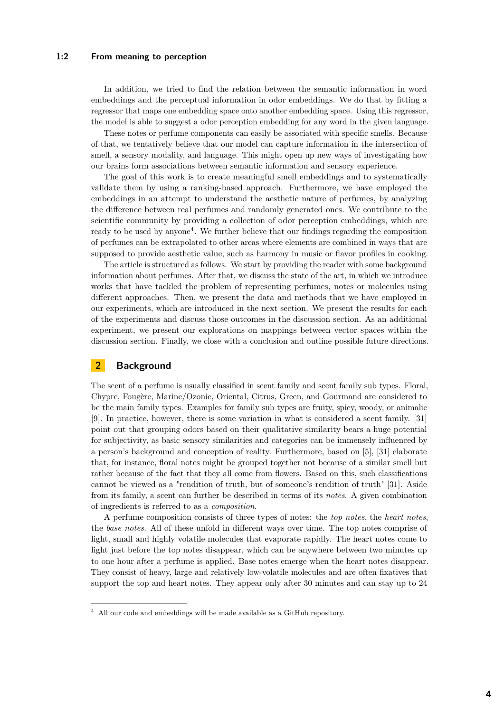In addition, we tried to find the relation between the semantic information in word embeddings and the perceptual information in odor embeddings. We do that by fitting a regressor that maps one embedding space onto another embedding space. Using this regressor, the model is able to suggest a odor perception embedding for any word in the given language.

These notes or perfume components can easily be associated with specific smells. Because of that, we tentatively believe that our model can capture information in the intersection of smell, a sensory modality, and language. This might open up new ways of investigating how our brains form associations between semantic information and sensory experience.

The goal of this work is to create meaningful smell embeddings and to systematically validate them by using a ranking-based approach. Furthermore, we have employed the embeddings in an attempt to understand the aesthetic nature of perfumes, by analyzing the difference between real perfumes and randomly generated ones. We contribute to the scientific community by providing a collection of odor perception embeddings, which are ready to be used by anyone<sup>[4](#page-1-0)</sup>. We further believe that our findings regarding the composition of perfumes can be extrapolated to other areas where elements are combined in ways that are supposed to provide aesthetic value, such as harmony in music or flavor profiles in cooking.

The article is structured as follows. We start by providing the reader with some background information about perfumes. After that, we discuss the state of the art, in which we introduce works that have tackled the problem of representing perfumes, notes or molecules using different approaches. Then, we present the data and methods that we have employed in our experiments, which are introduced in the next section. We present the results for each of the experiments and discuss those outcomes in the discussion section. As an additional experiment, we present our explorations on mappings between vector spaces within the discussion section. Finally, we close with a conclusion and outline possible future directions.

# **2 Background**

The scent of a perfume is usually classified in scent family and scent family sub types. Floral, Chypre, Fougère, Marine/Ozonic, Oriental, Citrus, Green, and Gourmand are considered to be the main family types. Examples for family sub types are fruity, spicy, woody, or animalic [\[9\]](#page-12-0). In practice, however, there is some variation in what is considered a scent family. [\[31\]](#page-13-0) point out that grouping odors based on their qualitative similarity bears a huge potential for subjectivity, as basic sensory similarities and categories can be immensely influenced by a person's background and conception of reality. Furthermore, based on [\[5\]](#page-12-1), [\[31\]](#page-13-0) elaborate that, for instance, floral notes might be grouped together not because of a similar smell but rather because of the fact that they all come from flowers. Based on this, such classifications cannot be viewed as a "rendition of truth, but of someone's rendition of truth" [\[31\]](#page-13-0). Aside from its family, a scent can further be described in terms of its *notes*. A given combination of ingredients is referred to as a *composition*.

A perfume composition consists of three types of notes: the *top notes*, the *heart notes*, the *base notes*. All of these unfold in different ways over time. The top notes comprise of light, small and highly volatile molecules that evaporate rapidly. The heart notes come to light just before the top notes disappear, which can be anywhere between two minutes up to one hour after a perfume is applied. Base notes emerge when the heart notes disappear. They consist of heavy, large and relatively low-volatile molecules and are often fixatives that support the top and heart notes. They appear only after 30 minutes and can stay up to 24

<span id="page-1-0"></span> $4$  All our code and embeddings will be made available as a GitHub repository.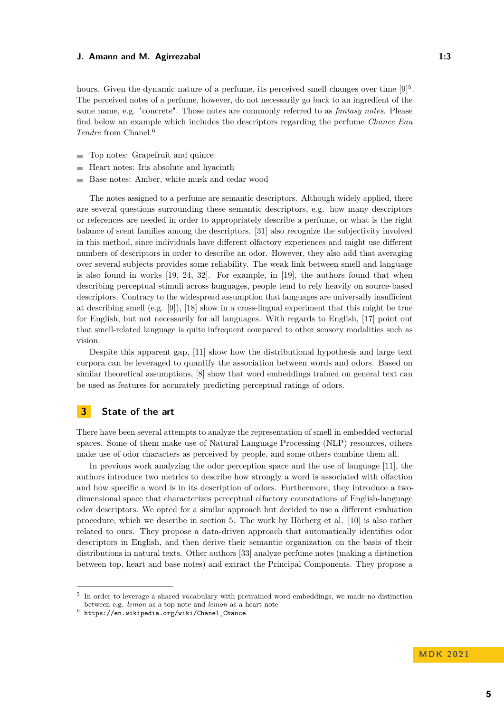hours. Given the dynamic nature of a perfume, its perceived smell changes over time  $[9]^5$  $[9]^5$  $[9]^5$ . The perceived notes of a perfume, however, do not necessarily go back to an ingredient of the same name, e.g. "concrete". Those notes are commonly referred to as *fantasy notes*. Please find below an example which includes the descriptors regarding the perfume *Chance Eau Tendre* from Chanel.[6](#page-2-1)

- Top notes: Grapefruit and quince
- Heart notes: Iris absolute and hyacinth ÷
- Base notes: Amber, white musk and cedar wood

The notes assigned to a perfume are semantic descriptors. Although widely applied, there are several questions surrounding these semantic descriptors, e.g. how many descriptors or references are needed in order to appropriately describe a perfume, or what is the right balance of scent families among the descriptors. [\[31\]](#page-13-0) also recognize the subjectivity involved in this method, since individuals have different olfactory experiences and might use different numbers of descriptors in order to describe an odor. However, they also add that averaging over several subjects provides some reliability. The weak link between smell and language is also found in works [\[19,](#page-12-2) [24,](#page-13-1) [32\]](#page-13-2). For example, in [\[19\]](#page-12-2), the authors found that when describing perceptual stimuli across languages, people tend to rely heavily on source-based descriptors. Contrary to the widespread assumption that languages are universally insufficient at describing smell (e.g. [\[9\]](#page-12-0)), [\[18\]](#page-12-3) show in a cross-lingual experiment that this might be true for English, but not necessarily for all languages. With regards to English, [\[17\]](#page-12-4) point out that smell-related language is quite infrequent compared to other sensory modalities such as vision.

Despite this apparent gap, [\[11\]](#page-12-5) show how the distributional hypothesis and large text corpora can be leveraged to quantify the association between words and odors. Based on similar theoretical assumptions, [\[8\]](#page-12-6) show that word embeddings trained on general text can be used as features for accurately predicting perceptual ratings of odors.

## **3 State of the art**

There have been several attempts to analyze the representation of smell in embedded vectorial spaces. Some of them make use of Natural Language Processing (NLP) resources, others make use of odor characters as perceived by people, and some others combine them all.

In previous work analyzing the odor perception space and the use of language [\[11\]](#page-12-5), the authors introduce two metrics to describe how strongly a word is associated with olfaction and how specific a word is in its description of odors. Furthermore, they introduce a twodimensional space that characterizes perceptual olfactory connotations of English-language odor descriptors. We opted for a similar approach but decided to use a different evaluation procedure, which we describe in section 5. The work by Hörberg et al. [\[10\]](#page-12-7) is also rather related to ours. They propose a data-driven approach that automatically identifies odor descriptors in English, and then derive their semantic organization on the basis of their distributions in natural texts. Other authors [\[33\]](#page-13-3) analyze perfume notes (making a distinction between top, heart and base notes) and extract the Principal Components. They propose a

<span id="page-2-0"></span><sup>5</sup> In order to leverage a shared vocabulary with pretrained word embeddings, we made no distinction between e.g. *lemon* as a top note and *lemon* as a heart note

<span id="page-2-1"></span> $^6$  [https://en.wikipedia.org/wiki/Chanel\\_Chance](https://en.wikipedia.org/wiki/Chanel_Chance)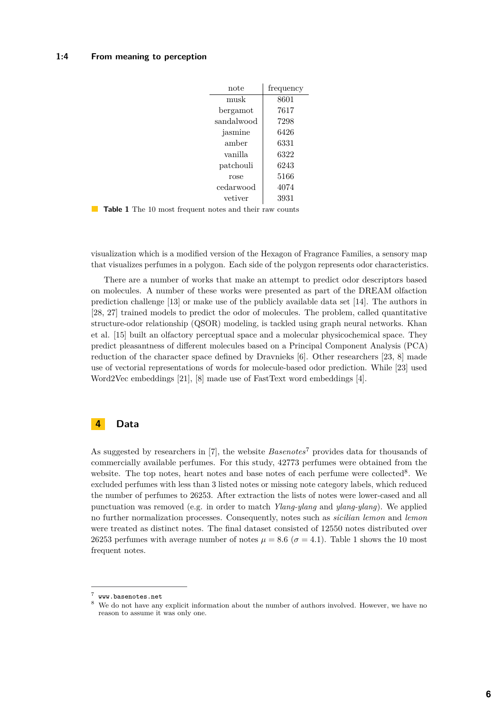| note       | frequency |
|------------|-----------|
| musk       | 8601      |
| bergamot   | 7617      |
| sandalwood | 7298      |
| jasmine    | 6426      |
| amber      | 6331      |
| vanilla    | 6322      |
| patchouli  | 6243      |
| rose       | 5166      |
| cedarwood  | 4074      |
| vetiver    | 3931      |

**Table 1** The 10 most frequent notes and their raw counts

visualization which is a modified version of the Hexagon of Fragrance Families, a sensory map that visualizes perfumes in a polygon. Each side of the polygon represents odor characteristics.

There are a number of works that make an attempt to predict odor descriptors based on molecules. A number of these works were presented as part of the DREAM olfaction prediction challenge [\[13\]](#page-12-8) or make use of the publicly available data set [\[14\]](#page-12-9). The authors in [\[28,](#page-13-4) [27\]](#page-13-5) trained models to predict the odor of molecules. The problem, called quantitative structure-odor relationship (QSOR) modeling, is tackled using graph neural networks. Khan et al. [\[15\]](#page-12-10) built an olfactory perceptual space and a molecular physicochemical space. They predict pleasantness of different molecules based on a Principal Component Analysis (PCA) reduction of the character space defined by Dravnieks [\[6\]](#page-12-11). Other researchers [\[23,](#page-13-6) [8\]](#page-12-6) made use of vectorial representations of words for molecule-based odor prediction. While [\[23\]](#page-13-6) used Word2Vec embeddings [\[21\]](#page-12-12), [\[8\]](#page-12-6) made use of FastText word embeddings [\[4\]](#page-12-13).

# **4 Data**

As suggested by researchers in [\[7\]](#page-12-14), the website *Basenotes*<sup>[7](#page-3-0)</sup> provides data for thousands of commercially available perfumes. For this study, 42773 perfumes were obtained from the website. The top notes, heart notes and base notes of each perfume were collected<sup>[8](#page-3-1)</sup>. We excluded perfumes with less than 3 listed notes or missing note category labels, which reduced the number of perfumes to 26253. After extraction the lists of notes were lower-cased and all punctuation was removed (e.g. in order to match *Ylang-ylang* and *ylang-ylang*). We applied no further normalization processes. Consequently, notes such as *sicilian lemon* and *lemon* were treated as distinct notes. The final dataset consisted of 12550 notes distributed over 26253 perfumes with average number of notes  $\mu = 8.6$  ( $\sigma = 4.1$ ). Table 1 shows the 10 most frequent notes.

<span id="page-3-0"></span><sup>7</sup> <www.basenotes.net>

<span id="page-3-1"></span><sup>&</sup>lt;sup>8</sup> We do not have any explicit information about the number of authors involved. However, we have no reason to assume it was only one.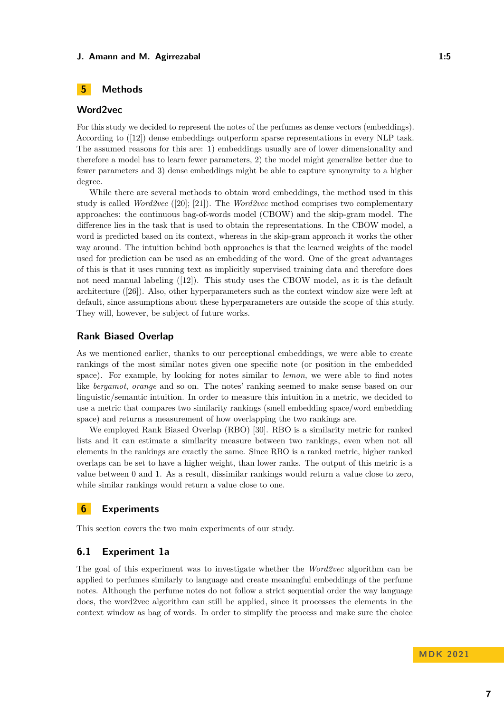# **5 Methods**

# **Word2vec**

For this study we decided to represent the notes of the perfumes as dense vectors (embeddings). According to ([\[12\]](#page-12-15)) dense embeddings outperform sparse representations in every NLP task. The assumed reasons for this are: 1) embeddings usually are of lower dimensionality and therefore a model has to learn fewer parameters, 2) the model might generalize better due to fewer parameters and 3) dense embeddings might be able to capture synonymity to a higher degree.

While there are several methods to obtain word embeddings, the method used in this study is called *Word2vec* ([\[20\]](#page-12-16); [\[21\]](#page-12-12)). The *Word2vec* method comprises two complementary approaches: the continuous bag-of-words model (CBOW) and the skip-gram model. The difference lies in the task that is used to obtain the representations. In the CBOW model, a word is predicted based on its context, whereas in the skip-gram approach it works the other way around. The intuition behind both approaches is that the learned weights of the model used for prediction can be used as an embedding of the word. One of the great advantages of this is that it uses running text as implicitly supervised training data and therefore does not need manual labeling ([\[12\]](#page-12-15)). This study uses the CBOW model, as it is the default architecture ([\[26\]](#page-13-7)). Also, other hyperparameters such as the context window size were left at default, since assumptions about these hyperparameters are outside the scope of this study. They will, however, be subject of future works.

## **Rank Biased Overlap**

As we mentioned earlier, thanks to our perceptional embeddings, we were able to create rankings of the most similar notes given one specific note (or position in the embedded space). For example, by looking for notes similar to *lemon*, we were able to find notes like *bergamot*, *orange* and so on. The notes' ranking seemed to make sense based on our linguistic/semantic intuition. In order to measure this intuition in a metric, we decided to use a metric that compares two similarity rankings (smell embedding space/word embedding space) and returns a measurement of how overlapping the two rankings are.

We employed Rank Biased Overlap (RBO) [\[30\]](#page-13-8). RBO is a similarity metric for ranked lists and it can estimate a similarity measure between two rankings, even when not all elements in the rankings are exactly the same. Since RBO is a ranked metric, higher ranked overlaps can be set to have a higher weight, than lower ranks. The output of this metric is a value between 0 and 1. As a result, dissimilar rankings would return a value close to zero, while similar rankings would return a value close to one.

# **6 Experiments**

This section covers the two main experiments of our study.

## **6.1 Experiment 1a**

The goal of this experiment was to investigate whether the *Word2vec* algorithm can be applied to perfumes similarly to language and create meaningful embeddings of the perfume notes. Although the perfume notes do not follow a strict sequential order the way language does, the word2vec algorithm can still be applied, since it processes the elements in the context window as bag of words. In order to simplify the process and make sure the choice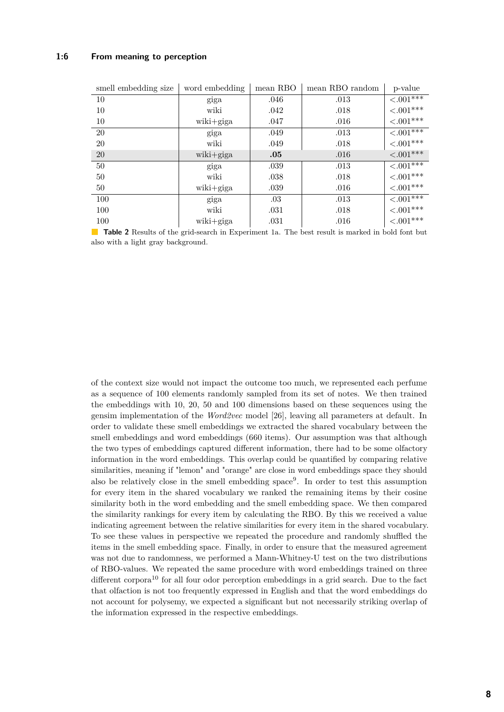### **1:6 From meaning to perception**

<span id="page-5-0"></span>

| smell embedding size | word embedding | mean RBO | mean RBO random | p-value         |
|----------------------|----------------|----------|-----------------|-----------------|
| 10                   | giga           | .046     | .013            | $\leq 0.01**$   |
| 10                   | wiki           | .042     | .018            | ${<}.001***$    |
| 10                   | wiki+giga      | .047     | .016            | ${<}.001***$    |
| 20                   | giga           | .049     | .013            | $< .001$ ***    |
| 20                   | wiki           | .049     | .018            | ${<}.001***$    |
| <b>20</b>            | wiki+giga      | .05      | .016            | ${<}.001***$    |
| $50\,$               | giga           | .039     | .013            | $< .001$ ***    |
| 50                   | wiki           | .038     | .018            | ${<}.001***$    |
| 50                   | wiki+giga      | .039     | .016            | ${<}.001***$    |
| 100                  | giga           | .03      | .013            | $\leq 0.01$ *** |
| 100                  | wiki           | .031     | .018            | $< .001***$     |
| 100                  | wiki+giga      | .031     | .016            | $< .001***$     |

**Table 2** Results of the grid-search in Experiment 1a. The best result is marked in bold font but also with a light gray background.

of the context size would not impact the outcome too much, we represented each perfume as a sequence of 100 elements randomly sampled from its set of notes. We then trained the embeddings with 10, 20, 50 and 100 dimensions based on these sequences using the gensim implementation of the *Word2vec* model [\[26\]](#page-13-7), leaving all parameters at default. In order to validate these smell embeddings we extracted the shared vocabulary between the smell embeddings and word embeddings (660 items). Our assumption was that although the two types of embeddings captured different information, there had to be some olfactory information in the word embeddings. This overlap could be quantified by comparing relative similarities, meaning if "lemon" and "orange" are close in word embeddings space they should also be relatively close in the smell embedding space[9](#page-6-0) . In order to test this assumption for every item in the shared vocabulary we ranked the remaining items by their cosine similarity both in the word embedding and the smell embedding space. We then compared the similarity rankings for every item by calculating the RBO. By this we received a value indicating agreement between the relative similarities for every item in the shared vocabulary. To see these values in perspective we repeated the procedure and randomly shuffled the items in the smell embedding space. Finally, in order to ensure that the measured agreement was not due to randomness, we performed a Mann-Whitney-U test on the two distributions of RBO-values. We repeated the same procedure with word embeddings trained on three different corpora<sup>[10](#page-6-1)</sup> for all four odor perception embeddings in a grid search. Due to the fact that olfaction is not too frequently expressed in English and that the word embeddings do not account for polysemy, we expected a significant but not necessarily striking overlap of the information expressed in the respective embeddings.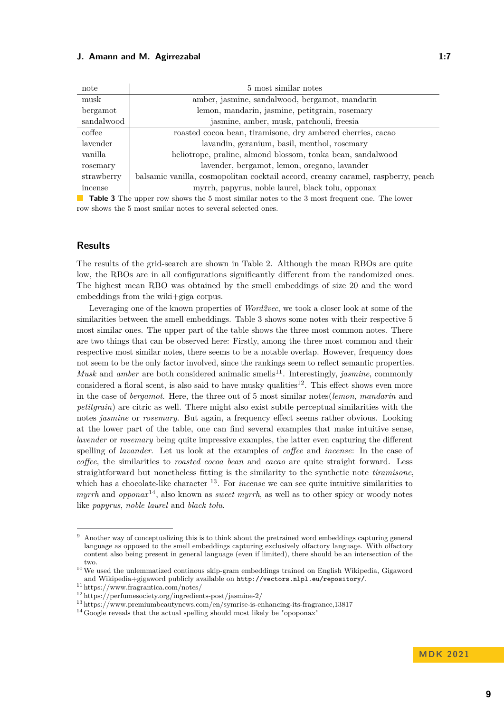| note       | 5 most similar notes                                                             |
|------------|----------------------------------------------------------------------------------|
| musk       | amber, jasmine, sandalwood, bergamot, mandarin                                   |
| bergamot   | lemon, mandarin, jasmine, petitgrain, rosemary                                   |
| sandalwood | jasmine, amber, musk, patchouli, freesia                                         |
| coffee     | roasted cocoa bean, tiramisone, dry ambered cherries, cacao                      |
| lavender   | lavandin, geranium, basil, menthol, rosemary                                     |
| vanilla    | heliotrope, praline, almond blossom, tonka bean, sandalwood                      |
| rosemary   | lavender, bergamot, lemon, oregano, lavander                                     |
| strawberry | balsamic vanilla, cosmopolitan cocktail accord, creamy caramel, raspberry, peach |
| incense    | myrrh, papyrus, noble laurel, black tolu, opponax                                |

**Table 3** The upper row shows the 5 most similar notes to the 3 most frequent one. The lower row shows the 5 most smilar notes to several selected ones.

## **Results**

The results of the grid-search are shown in Table [2.](#page-5-0) Although the mean RBOs are quite low, the RBOs are in all configurations significantly different from the randomized ones. The highest mean RBO was obtained by the smell embeddings of size 20 and the word embeddings from the wiki+giga corpus.

Leveraging one of the known properties of *Word2vec*, we took a closer look at some of the similarities between the smell embeddings. Table 3 shows some notes with their respective 5 most similar ones. The upper part of the table shows the three most common notes. There are two things that can be observed here: Firstly, among the three most common and their respective most similar notes, there seems to be a notable overlap. However, frequency does not seem to be the only factor involved, since the rankings seem to reflect semantic properties. *Musk* and *amber* are both considered animalic smells<sup>[11](#page-6-2)</sup>. Interestingly, *jasmine*, commonly considered a floral scent, is also said to have musky qualities<sup>[12](#page-6-3)</sup>. This effect shows even more in the case of *bergamot*. Here, the three out of 5 most similar notes(*lemon*, *mandarin* and *petitgrain*) are citric as well. There might also exist subtle perceptual similarities with the notes *jasmine* or *rosemary*. But again, a frequency effect seems rather obvious. Looking at the lower part of the table, one can find several examples that make intuitive sense, *lavender* or *rosemary* being quite impressive examples, the latter even capturing the different spelling of *lavander*. Let us look at the examples of *coffee* and *incense*: In the case of *coffee*, the similarities to *roasted cocoa bean* and *cacao* are quite straight forward. Less straightforward but nonetheless fitting is the similarity to the synthetic note *tiramisone*, which has a chocolate-like character <sup>[13](#page-6-4)</sup>. For *incense* we can see quite intuitive similarities to *myrrh* and *opponax*[14](#page-6-5), also known as *sweet myrrh*, as well as to other spicy or woody notes like *papyrus*, *noble laurel* and *black tolu*.

<span id="page-6-0"></span><sup>9</sup> Another way of conceptualizing this is to think about the pretrained word embeddings capturing general language as opposed to the smell embeddings capturing exclusively olfactory language. With olfactory content also being present in general language (even if limited), there should be an intersection of the two.

<span id="page-6-1"></span> $^{10}\,$  We used the unlemmatized continous skip-gram embeddings trained on English Wikipedia, Gigaword and Wikipedia+gigaword publicly available on <http://vectors.nlpl.eu/repository/>.

<span id="page-6-2"></span><sup>11</sup> https://www.fragrantica.com/notes/

<span id="page-6-3"></span><sup>12</sup> https://perfumesociety.org/ingredients-post/jasmine-2/

<span id="page-6-4"></span><sup>13</sup> https://www.premiumbeautynews.com/en/symrise-is-enhancing-its-fragrance,13817

<span id="page-6-5"></span> $14$  Google reveals that the actual spelling should most likely be "opoponax"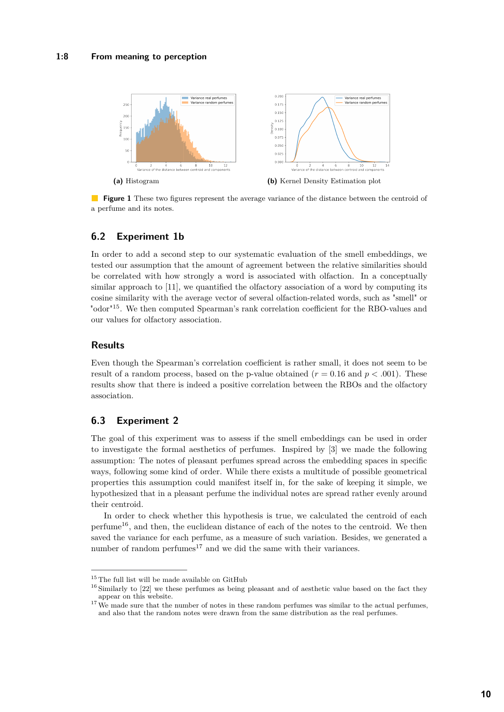<span id="page-7-3"></span>

**Figure 1** These two figures represent the average variance of the distance between the centroid of a perfume and its notes.

# **6.2 Experiment 1b**

In order to add a second step to our systematic evaluation of the smell embeddings, we tested our assumption that the amount of agreement between the relative similarities should be correlated with how strongly a word is associated with olfaction. In a conceptually similar approach to [\[11\]](#page-12-5), we quantified the olfactory association of a word by computing its cosine similarity with the average vector of several olfaction-related words, such as "smell" or "odor"[15](#page-7-0). We then computed Spearman's rank correlation coefficient for the RBO-values and our values for olfactory association.

## **Results**

Even though the Spearman's correlation coefficient is rather small, it does not seem to be result of a random process, based on the p-value obtained  $(r = 0.16$  and  $p < .001)$ . These results show that there is indeed a positive correlation between the RBOs and the olfactory association.

# **6.3 Experiment 2**

The goal of this experiment was to assess if the smell embeddings can be used in order to investigate the formal aesthetics of perfumes. Inspired by [\[3\]](#page-12-17) we made the following assumption: The notes of pleasant perfumes spread across the embedding spaces in specific ways, following some kind of order. While there exists a multitude of possible geometrical properties this assumption could manifest itself in, for the sake of keeping it simple, we hypothesized that in a pleasant perfume the individual notes are spread rather evenly around their centroid.

In order to check whether this hypothesis is true, we calculated the centroid of each  $perfume^{16}$  $perfume^{16}$  $perfume^{16}$ , and then, the euclidean distance of each of the notes to the centroid. We then saved the variance for each perfume, as a measure of such variation. Besides, we generated a number of random perfumes $^{17}$  $^{17}$  $^{17}$  and we did the same with their variances.

<span id="page-7-0"></span> $^{15}\mathrm{The}$  full list will be made available on GitHub

<span id="page-7-1"></span><sup>&</sup>lt;sup>16</sup> Similarly to [\[22\]](#page-12-18) we these perfumes as being pleasant and of aesthetic value based on the fact they appear on this website.

<span id="page-7-2"></span> $17\text{ We made sure that the number of notes in these random performs was similar to the actual performs,}$ and also that the random notes were drawn from the same distribution as the real perfumes.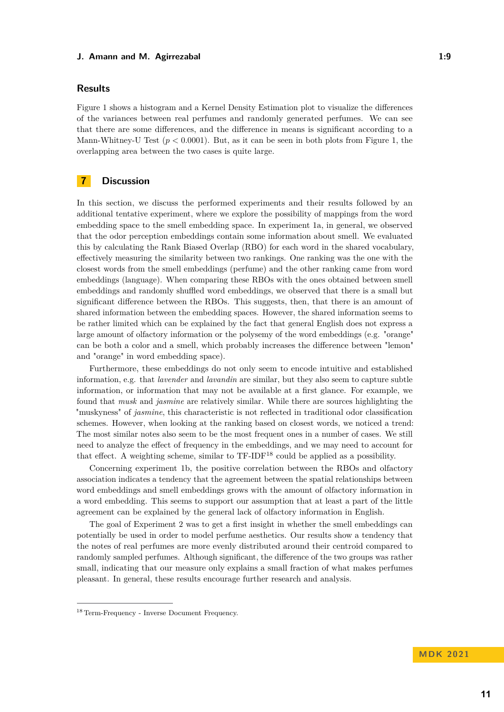## **Results**

Figure [1](#page-7-3) shows a histogram and a Kernel Density Estimation plot to visualize the differences of the variances between real perfumes and randomly generated perfumes. We can see that there are some differences, and the difference in means is significant according to a Mann-Whitney-U Test  $(p < 0.0001)$ . But, as it can be seen in both plots from Figure [1,](#page-7-3) the overlapping area between the two cases is quite large.

# **7 Discussion**

In this section, we discuss the performed experiments and their results followed by an additional tentative experiment, where we explore the possibility of mappings from the word embedding space to the smell embedding space. In experiment 1a, in general, we observed that the odor perception embeddings contain some information about smell. We evaluated this by calculating the Rank Biased Overlap (RBO) for each word in the shared vocabulary, effectively measuring the similarity between two rankings. One ranking was the one with the closest words from the smell embeddings (perfume) and the other ranking came from word embeddings (language). When comparing these RBOs with the ones obtained between smell embeddings and randomly shuffled word embeddings, we observed that there is a small but significant difference between the RBOs. This suggests, then, that there is an amount of shared information between the embedding spaces. However, the shared information seems to be rather limited which can be explained by the fact that general English does not express a large amount of olfactory information or the polysemy of the word embeddings (e.g. "orange" can be both a color and a smell, which probably increases the difference between "lemon" and "orange" in word embedding space).

Furthermore, these embeddings do not only seem to encode intuitive and established information, e.g. that *lavender* and *lavandin* are similar, but they also seem to capture subtle information, or information that may not be available at a first glance. For example, we found that *musk* and *jasmine* are relatively similar. While there are sources highlighting the "muskyness" of *jasmine*, this characteristic is not reflected in traditional odor classification schemes. However, when looking at the ranking based on closest words, we noticed a trend: The most similar notes also seem to be the most frequent ones in a number of cases. We still need to analyze the effect of frequency in the embeddings, and we may need to account for that effect. A weighting scheme, similar to TF-IDF<sup>[18](#page-8-0)</sup> could be applied as a possibility.

Concerning experiment 1b, the positive correlation between the RBOs and olfactory association indicates a tendency that the agreement between the spatial relationships between word embeddings and smell embeddings grows with the amount of olfactory information in a word embedding. This seems to support our assumption that at least a part of the little agreement can be explained by the general lack of olfactory information in English.

The goal of Experiment 2 was to get a first insight in whether the smell embeddings can potentially be used in order to model perfume aesthetics. Our results show a tendency that the notes of real perfumes are more evenly distributed around their centroid compared to randomly sampled perfumes. Although significant, the difference of the two groups was rather small, indicating that our measure only explains a small fraction of what makes perfumes pleasant. In general, these results encourage further research and analysis.

**MD K 2 0 2 1**

<span id="page-8-0"></span><sup>18</sup> Term-Frequency - Inverse Document Frequency.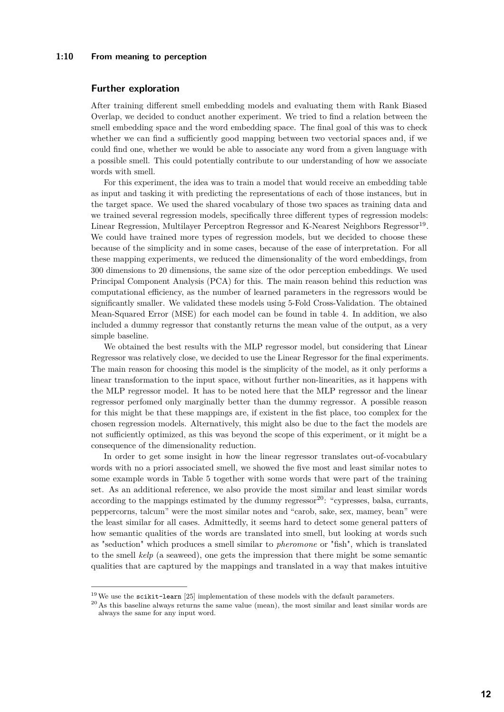#### **1:10 From meaning to perception**

## **Further exploration**

After training different smell embedding models and evaluating them with Rank Biased Overlap, we decided to conduct another experiment. We tried to find a relation between the smell embedding space and the word embedding space. The final goal of this was to check whether we can find a sufficiently good mapping between two vectorial spaces and, if we could find one, whether we would be able to associate any word from a given language with a possible smell. This could potentially contribute to our understanding of how we associate words with smell.

For this experiment, the idea was to train a model that would receive an embedding table as input and tasking it with predicting the representations of each of those instances, but in the target space. We used the shared vocabulary of those two spaces as training data and we trained several regression models, specifically three different types of regression models: Linear Regression, Multilayer Perceptron Regressor and K-Nearest Neighbors Regressor<sup>[19](#page-9-0)</sup>. We could have trained more types of regression models, but we decided to choose these because of the simplicity and in some cases, because of the ease of interpretation. For all these mapping experiments, we reduced the dimensionality of the word embeddings, from 300 dimensions to 20 dimensions, the same size of the odor perception embeddings. We used Principal Component Analysis (PCA) for this. The main reason behind this reduction was computational efficiency, as the number of learned parameters in the regressors would be significantly smaller. We validated these models using 5-Fold Cross-Validation. The obtained Mean-Squared Error (MSE) for each model can be found in table [4.](#page-10-0) In addition, we also included a dummy regressor that constantly returns the mean value of the output, as a very simple baseline.

We obtained the best results with the MLP regressor model, but considering that Linear Regressor was relatively close, we decided to use the Linear Regressor for the final experiments. The main reason for choosing this model is the simplicity of the model, as it only performs a linear transformation to the input space, without further non-linearities, as it happens with the MLP regressor model. It has to be noted here that the MLP regressor and the linear regressor perfomed only marginally better than the dummy regressor. A possible reason for this might be that these mappings are, if existent in the fist place, too complex for the chosen regression models. Alternatively, this might also be due to the fact the models are not sufficiently optimized, as this was beyond the scope of this experiment, or it might be a consequence of the dimensionality reduction.

In order to get some insight in how the linear regressor translates out-of-vocabulary words with no a priori associated smell, we showed the five most and least similar notes to some example words in Table [5](#page-10-1) together with some words that were part of the training set. As an additional reference, we also provide the most similar and least similar words according to the mappings estimated by the dummy regressor<sup>[20](#page-9-1)</sup>: "cypresses, balsa, currants, peppercorns, talcum" were the most similar notes and "carob, sake, sex, mamey, bean" were the least similar for all cases. Admittedly, it seems hard to detect some general patters of how semantic qualities of the words are translated into smell, but looking at words such as "seduction" which produces a smell similar to *pheromone* or "fish", which is translated to the smell *kelp* (a seaweed), one gets the impression that there might be some semantic qualities that are captured by the mappings and translated in a way that makes intuitive

<span id="page-9-0"></span> $19$  We use the scikit-learn [\[25\]](#page-13-9) implementation of these models with the default parameters.

<span id="page-9-1"></span><sup>&</sup>lt;sup>20</sup> As this baseline always returns the same value (mean), the most similar and least similar words are always the same for any input word.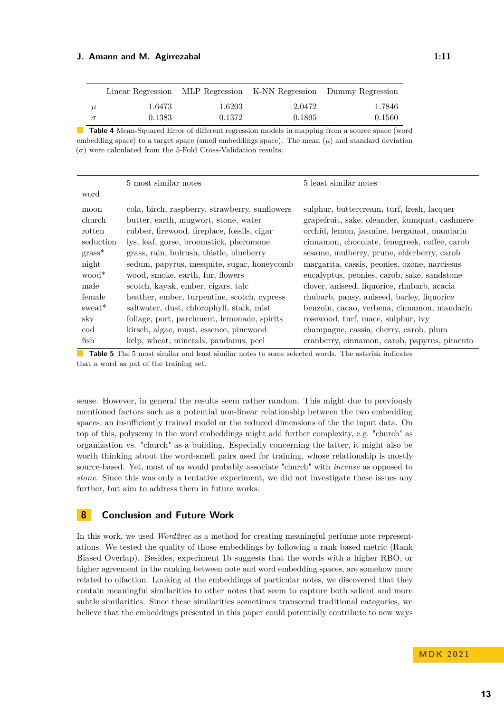#### **J. Amann and M. Agirrezabal 1:11** and 1:11

<span id="page-10-0"></span>

|   |                  |                  |                  | Linear Regression MLP Regression K-NN Regression Dummy Regression |
|---|------------------|------------------|------------------|-------------------------------------------------------------------|
| μ | 1.6473<br>0.1383 | 1.6203<br>0.1372 | 2.0472<br>0.1895 | 1.7846<br>0.1560                                                  |
|   |                  |                  |                  |                                                                   |

**Table 4** Mean-Squared Error of different regression models in mapping from a source space (word embedding space) to a target space (smell embeddings space). The mean  $(\mu)$  and standard deviation  $(\sigma)$  were calculated from the 5-Fold Cross-Validation results.

<span id="page-10-1"></span>

|                                                                                                                         | 5 most similar notes                                                                                                                                                                                                                                                                                                                                                                                                                             | 5 least similar notes                                                                                                                                                                                                                                                                                                                                                                                                                                                               |
|-------------------------------------------------------------------------------------------------------------------------|--------------------------------------------------------------------------------------------------------------------------------------------------------------------------------------------------------------------------------------------------------------------------------------------------------------------------------------------------------------------------------------------------------------------------------------------------|-------------------------------------------------------------------------------------------------------------------------------------------------------------------------------------------------------------------------------------------------------------------------------------------------------------------------------------------------------------------------------------------------------------------------------------------------------------------------------------|
| word                                                                                                                    |                                                                                                                                                                                                                                                                                                                                                                                                                                                  |                                                                                                                                                                                                                                                                                                                                                                                                                                                                                     |
| moon<br>church<br>rotten<br>seduction<br>$grass*$<br>night<br>wood <sup>*</sup><br>male<br>female<br>sweat <sup>*</sup> | cola, birch, raspberry, strawberry, sunflowers<br>butter, earth, mugwort, stone, water<br>rubber, firewood, fireplace, fossils, cigar<br>lys, leaf, gorse, broomstick, pheromone<br>grass, rain, bulrush, thistle, blueberry<br>sedum, papyrus, mesquite, sugar, honeycomb<br>wood, smoke, earth, fur, flowers<br>scotch, kayak, ember, cigars, talc<br>heather, ember, turpentine, scotch, cypress<br>saltwater, dust, chlorophyll, stalk, mist | sulphur, buttercream, turf, fresh, lacquer<br>grapefruit, sake, oleander, kumquat, cashmere<br>orchid, lemon, jasmine, bergamot, mandarin<br>cinnamon, chocolate, fenugreek, coffee, carob<br>sesame, mulberry, prune, elderberry, carob<br>margarita, cassis, peonies, ozone, narcissus<br>eucalyptus, peonies, carob, sake, sandstone<br>clover, aniseed, liquorice, rhubarb, acacia<br>rhubarb, pansy, aniseed, barley, liquorice<br>benzoin, cacao, verbena, cinnamon, mandarin |
| sky<br>cod                                                                                                              | foliage, port, parchment, lemonade, spirits<br>kirsch, algae, must, essence, pinewood                                                                                                                                                                                                                                                                                                                                                            | rosewood, turf, mace, sulphur, ivy<br>champagne, cassia, cherry, carob, plum                                                                                                                                                                                                                                                                                                                                                                                                        |
| fish                                                                                                                    | kelp, wheat, minerals, pandanus, peel                                                                                                                                                                                                                                                                                                                                                                                                            | cranberry, cinnamon, carob, papyrus, pimento                                                                                                                                                                                                                                                                                                                                                                                                                                        |

**Table 5** The 5 most similar and least similar notes to some selected words. The asterisk indicates that a word as pat of the training set.

sense. However, in general the results seem rather random. This might due to previously mentioned factors such as a potential non-linear relationship between the two embedding spaces, an insufficiently trained model or the reduced dimensions of the the input data. On top of this, polysemy in the word embeddings might add further complexity, e.g. "church" as organization vs. "church" as a building. Especially concerning the latter, it might also be worth thinking about the word-smell pairs used for training, whose relationship is mostly source-based. Yet, most of us would probably associate "church" with *incense* as opposed to *stone*. Since this was only a tentative experiment, we did not investigate these issues any further, but aim to address them in future works.

## **8 Conclusion and Future Work**

In this work, we used *Word2vec* as a method for creating meaningful perfume note representations. We tested the quality of those embeddings by following a rank based metric (Rank Biased Overlap). Besides, experiment 1b suggests that the words with a higher RBO, or higher agreement in the ranking between note and word embedding spaces, are somehow more related to olfaction. Looking at the embeddings of particular notes, we discovered that they contain meaningful similarities to other notes that seem to capture both salient and more subtle similarities. Since these similarities sometimes transcend traditional categories, we believe that the embeddings presented in this paper could potentially contribute to new ways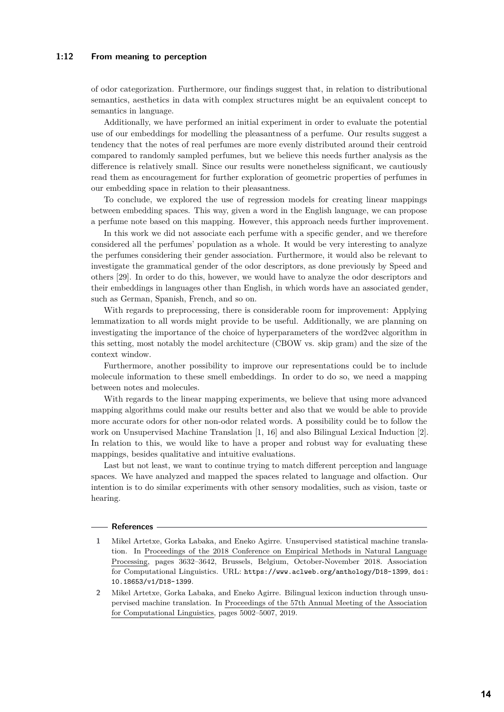### **1:12 From meaning to perception**

of odor categorization. Furthermore, our findings suggest that, in relation to distributional semantics, aesthetics in data with complex structures might be an equivalent concept to semantics in language.

Additionally, we have performed an initial experiment in order to evaluate the potential use of our embeddings for modelling the pleasantness of a perfume. Our results suggest a tendency that the notes of real perfumes are more evenly distributed around their centroid compared to randomly sampled perfumes, but we believe this needs further analysis as the difference is relatively small. Since our results were nonetheless significant, we cautiously read them as encouragement for further exploration of geometric properties of perfumes in our embedding space in relation to their pleasantness.

To conclude, we explored the use of regression models for creating linear mappings between embedding spaces. This way, given a word in the English language, we can propose a perfume note based on this mapping. However, this approach needs further improvement.

In this work we did not associate each perfume with a specific gender, and we therefore considered all the perfumes' population as a whole. It would be very interesting to analyze the perfumes considering their gender association. Furthermore, it would also be relevant to investigate the grammatical gender of the odor descriptors, as done previously by Speed and others [\[29\]](#page-13-10). In order to do this, however, we would have to analyze the odor descriptors and their embeddings in languages other than English, in which words have an associated gender, such as German, Spanish, French, and so on.

With regards to preprocessing, there is considerable room for improvement: Applying lemmatization to all words might provide to be useful. Additionally, we are planning on investigating the importance of the choice of hyperparameters of the word2vec algorithm in this setting, most notably the model architecture (CBOW vs. skip gram) and the size of the context window.

Furthermore, another possibility to improve our representations could be to include molecule information to these smell embeddings. In order to do so, we need a mapping between notes and molecules.

With regards to the linear mapping experiments, we believe that using more advanced mapping algorithms could make our results better and also that we would be able to provide more accurate odors for other non-odor related words. A possibility could be to follow the work on Unsupervised Machine Translation [\[1,](#page-11-0) [16\]](#page-12-19) and also Bilingual Lexical Induction [\[2\]](#page-11-1). In relation to this, we would like to have a proper and robust way for evaluating these mappings, besides qualitative and intuitive evaluations.

Last but not least, we want to continue trying to match different perception and language spaces. We have analyzed and mapped the spaces related to language and olfaction. Our intention is to do similar experiments with other sensory modalities, such as vision, taste or hearing.

#### **References**

- <span id="page-11-0"></span>**1** Mikel Artetxe, Gorka Labaka, and Eneko Agirre. Unsupervised statistical machine translation. In Proceedings of the 2018 Conference on Empirical Methods in Natural Language Processing, pages 3632–3642, Brussels, Belgium, October-November 2018. Association for Computational Linguistics. URL: <https://www.aclweb.org/anthology/D18-1399>, [doi:](https://doi.org/10.18653/v1/D18-1399) [10.18653/v1/D18-1399](https://doi.org/10.18653/v1/D18-1399).
- <span id="page-11-1"></span>**2** Mikel Artetxe, Gorka Labaka, and Eneko Agirre. Bilingual lexicon induction through unsupervised machine translation. In Proceedings of the 57th Annual Meeting of the Association for Computational Linguistics, pages 5002–5007, 2019.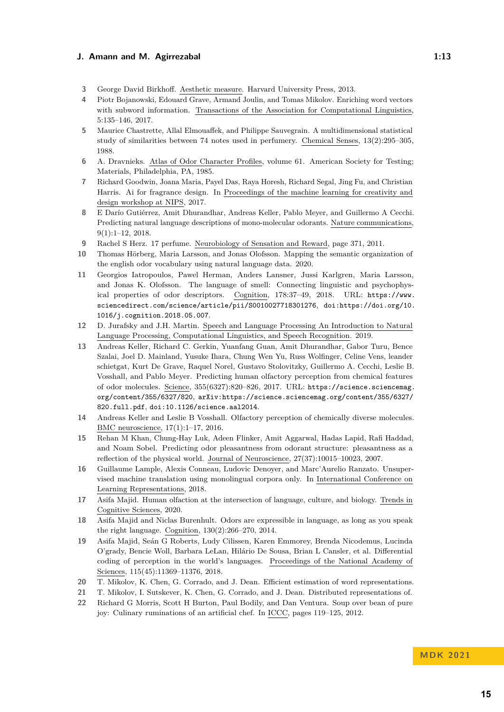- <span id="page-12-17"></span>**3** George David Birkhoff. Aesthetic measure. Harvard University Press, 2013.
- <span id="page-12-13"></span>**4** Piotr Bojanowski, Edouard Grave, Armand Joulin, and Tomas Mikolov. Enriching word vectors with subword information. Transactions of the Association for Computational Linguistics, 5:135–146, 2017.
- <span id="page-12-1"></span>**5** Maurice Chastrette, Allal Elmouaffek, and Philippe Sauvegrain. A multidimensional statistical study of similarities between 74 notes used in perfumery. Chemical Senses, 13(2):295–305, 1988.
- <span id="page-12-11"></span>**6** A. Dravnieks. Atlas of Odor Character Profiles, volume 61. American Society for Testing; Materials, Philadelphia, PA, 1985.
- <span id="page-12-14"></span>**7** Richard Goodwin, Joana Maria, Payel Das, Raya Horesh, Richard Segal, Jing Fu, and Christian Harris. Ai for fragrance design. In Proceedings of the machine learning for creativity and design workshop at NIPS, 2017.
- <span id="page-12-6"></span>**8** E Darío Gutiérrez, Amit Dhurandhar, Andreas Keller, Pablo Meyer, and Guillermo A Cecchi. Predicting natural language descriptions of mono-molecular odorants. Nature communications, 9(1):1–12, 2018.
- <span id="page-12-0"></span>**9** Rachel S Herz. 17 perfume. Neurobiology of Sensation and Reward, page 371, 2011.
- <span id="page-12-7"></span>**10** Thomas Hörberg, Maria Larsson, and Jonas Olofsson. Mapping the semantic organization of the english odor vocabulary using natural language data. 2020.
- <span id="page-12-5"></span>**11** Georgios Iatropoulos, Pawel Herman, Anders Lansner, Jussi Karlgren, Maria Larsson, and Jonas K. Olofsson. The language of smell: Connecting linguistic and psychophysical properties of odor descriptors. Cognition, 178:37–49, 2018. URL: [https://www.](https://www.sciencedirect.com/science/article/pii/S0010027718301276) [sciencedirect.com/science/article/pii/S0010027718301276](https://www.sciencedirect.com/science/article/pii/S0010027718301276), [doi:https://doi.org/10.](https://doi.org/https://doi.org/10.1016/j.cognition.2018.05.007) [1016/j.cognition.2018.05.007](https://doi.org/https://doi.org/10.1016/j.cognition.2018.05.007).
- <span id="page-12-15"></span>**12** D. Jurafsky and J.H. Martin. Speech and Language Processing An Introduction to Natural Language Processing, Computational Linguistics, and Speech Recognition. 2019.
- <span id="page-12-8"></span>**13** Andreas Keller, Richard C. Gerkin, Yuanfang Guan, Amit Dhurandhar, Gabor Turu, Bence Szalai, Joel D. Mainland, Yusuke Ihara, Chung Wen Yu, Russ Wolfinger, Celine Vens, leander schietgat, Kurt De Grave, Raquel Norel, Gustavo Stolovitzky, Guillermo A. Cecchi, Leslie B. Vosshall, and Pablo Meyer. Predicting human olfactory perception from chemical features of odor molecules. Science, 355(6327):820–826, 2017. URL: [https://science.sciencemag.](https://science.sciencemag.org/content/355/6327/820) [org/content/355/6327/820](https://science.sciencemag.org/content/355/6327/820), [arXiv:https://science.sciencemag.org/content/355/6327/](http://arxiv.org/abs/https://science.sciencemag.org/content/355/6327/820.full.pdf) [820.full.pdf](http://arxiv.org/abs/https://science.sciencemag.org/content/355/6327/820.full.pdf), [doi:10.1126/science.aal2014](https://doi.org/10.1126/science.aal2014).
- <span id="page-12-9"></span>**14** Andreas Keller and Leslie B Vosshall. Olfactory perception of chemically diverse molecules. BMC neuroscience, 17(1):1–17, 2016.
- <span id="page-12-10"></span>**15** Rehan M Khan, Chung-Hay Luk, Adeen Flinker, Amit Aggarwal, Hadas Lapid, Rafi Haddad, and Noam Sobel. Predicting odor pleasantness from odorant structure: pleasantness as a reflection of the physical world. Journal of Neuroscience, 27(37):10015–10023, 2007.
- <span id="page-12-19"></span>**16** Guillaume Lample, Alexis Conneau, Ludovic Denoyer, and Marc'Aurelio Ranzato. Unsupervised machine translation using monolingual corpora only. In International Conference on Learning Representations, 2018.
- <span id="page-12-4"></span>**17** Asifa Majid. Human olfaction at the intersection of language, culture, and biology. Trends in Cognitive Sciences, 2020.
- <span id="page-12-3"></span>**18** Asifa Majid and Niclas Burenhult. Odors are expressible in language, as long as you speak the right language. Cognition, 130(2):266–270, 2014.
- <span id="page-12-2"></span>**19** Asifa Majid, Seán G Roberts, Ludy Cilissen, Karen Emmorey, Brenda Nicodemus, Lucinda O'grady, Bencie Woll, Barbara LeLan, Hilário De Sousa, Brian L Cansler, et al. Differential coding of perception in the world's languages. Proceedings of the National Academy of Sciences, 115(45):11369–11376, 2018.
- <span id="page-12-16"></span>**20** T. Mikolov, K. Chen, G. Corrado, and J. Dean. Efficient estimation of word representations.
- <span id="page-12-12"></span>**21** T. Mikolov, I. Sutskever, K. Chen, G. Corrado, and J. Dean. Distributed representations of.
- <span id="page-12-18"></span>**22** Richard G Morris, Scott H Burton, Paul Bodily, and Dan Ventura. Soup over bean of pure joy: Culinary ruminations of an artificial chef. In ICCC, pages 119–125, 2012.